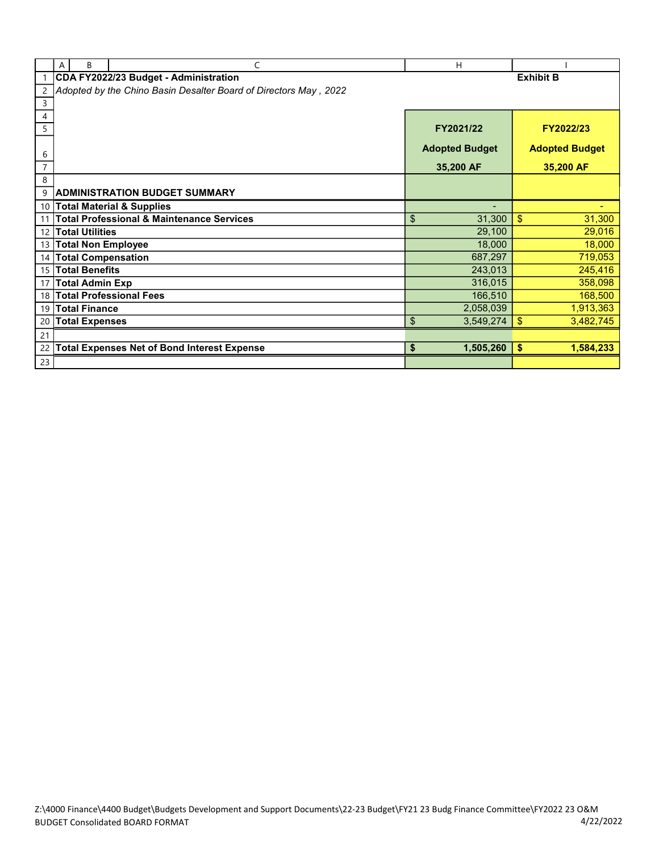|                 | B<br>Α                    | C                                                                     | H                     |                            |
|-----------------|---------------------------|-----------------------------------------------------------------------|-----------------------|----------------------------|
|                 |                           | CDA FY2022/23 Budget - Administration                                 |                       | <b>Exhibit B</b>           |
| $\overline{2}$  |                           | Adopted by the Chino Basin Desalter Board of Directors May<br>2, 2022 |                       |                            |
| 3               |                           |                                                                       |                       |                            |
| 4               |                           |                                                                       |                       |                            |
| 5               |                           |                                                                       | FY2021/22             | FY2022/23                  |
|                 |                           |                                                                       | <b>Adopted Budget</b> | <b>Adopted Budget</b>      |
| 6               |                           |                                                                       |                       |                            |
| $\overline{7}$  |                           |                                                                       | 35,200 AF             | 35,200 AF                  |
| 8               |                           |                                                                       |                       |                            |
| 9               |                           | <b>ADMINISTRATION BUDGET SUMMARY</b>                                  |                       |                            |
| 10              |                           | <b>Total Material &amp; Supplies</b>                                  |                       |                            |
|                 |                           | <b>Total Professional &amp; Maintenance Services</b>                  | \$<br>31,300          | 31,300<br>\$               |
| 12              | <b>Total Utilities</b>    |                                                                       | 29,100                | 29,016                     |
|                 | 13 Total Non Employee     |                                                                       | 18,000                | 18,000                     |
| 14              | <b>Total Compensation</b> |                                                                       | 687,297               | 719,053                    |
| 15 <sup>1</sup> | <b>Total Benefits</b>     |                                                                       | 243,013               | 245,416                    |
| 17              | <b>Total Admin Exp</b>    |                                                                       | 316,015               | 358,098                    |
| 18              |                           | <b>Total Professional Fees</b>                                        | 166,510               | 168,500                    |
| 19              | <b>Total Finance</b>      |                                                                       | 2,058,039             | 1,913,363                  |
| 20              | <b>Total Expenses</b>     |                                                                       | \$<br>3,549,274       | \$<br>3,482,745            |
| 21              |                           |                                                                       |                       |                            |
| 22              |                           | <b>Total Expenses Net of Bond Interest Expense</b>                    | \$<br>1,505,260       | $\frac{1}{2}$<br>1,584,233 |
| 23              |                           |                                                                       |                       |                            |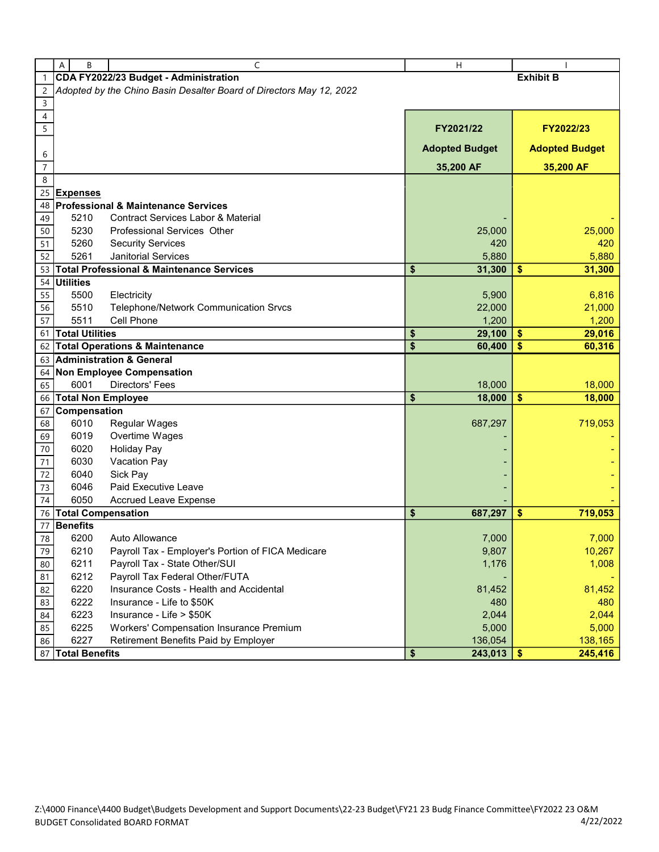|                     | А<br>B                    | C                                                                   | н                     |                       |
|---------------------|---------------------------|---------------------------------------------------------------------|-----------------------|-----------------------|
|                     |                           | CDA FY2022/23 Budget - Administration                               |                       | <b>Exhibit B</b>      |
| $\overline{c}$      |                           | Adopted by the Chino Basin Desalter Board of Directors May 12, 2022 |                       |                       |
| 3                   |                           |                                                                     |                       |                       |
| 4                   |                           |                                                                     |                       |                       |
| 5                   |                           |                                                                     | FY2021/22             | FY2022/23             |
|                     |                           |                                                                     | <b>Adopted Budget</b> | <b>Adopted Budget</b> |
| 6<br>$\overline{7}$ |                           |                                                                     | 35,200 AF             | 35,200 AF             |
| 8                   |                           |                                                                     |                       |                       |
| 25                  | <b>Expenses</b>           |                                                                     |                       |                       |
| 48                  |                           | <b>Professional &amp; Maintenance Services</b>                      |                       |                       |
| 49                  | 5210                      | <b>Contract Services Labor &amp; Material</b>                       |                       |                       |
| 50                  | 5230                      | Professional Services Other                                         | 25,000                | 25,000                |
|                     |                           |                                                                     | 420                   |                       |
| 51                  | 5260                      | <b>Security Services</b>                                            |                       | 420                   |
| 52                  | 5261                      | <b>Janitorial Services</b>                                          | 5,880                 | 5,880                 |
| 53                  |                           | <b>Total Professional &amp; Maintenance Services</b>                | \$<br>31,300          | \$<br>31,300          |
| 54                  | <b>Utilities</b>          |                                                                     |                       |                       |
| 55                  | 5500                      | Electricity                                                         | 5,900                 | 6,816                 |
| 56                  | 5510                      | Telephone/Network Communication Srvcs                               | 22,000                | 21,000                |
| $\overline{57}$     | 5511                      | Cell Phone                                                          | 1,200                 | 1,200                 |
| 61                  | <b>Total Utilities</b>    |                                                                     | \$<br>29,100          | \$<br>29,016          |
|                     |                           | 62 Total Operations & Maintenance                                   | \$<br>60,400          | \$<br>60,316          |
| 63                  |                           | <b>Administration &amp; General</b>                                 |                       |                       |
| 64                  |                           | <b>Non Employee Compensation</b>                                    |                       |                       |
| 65                  | 6001                      | Directors' Fees                                                     | 18,000                | 18,000                |
| 66                  | <b>Total Non Employee</b> |                                                                     | \$<br>18,000          | \$<br>18,000          |
| 67                  | Compensation              |                                                                     |                       |                       |
|                     | 6010                      |                                                                     |                       | 719,053               |
| 68                  |                           | Regular Wages                                                       | 687,297               |                       |
| 69                  | 6019                      | Overtime Wages                                                      |                       |                       |
| 70                  | 6020                      | <b>Holiday Pay</b>                                                  |                       |                       |
| 71                  | 6030                      | Vacation Pay                                                        |                       |                       |
| 72                  | 6040                      | Sick Pay                                                            |                       |                       |
| 73                  | 6046                      | Paid Executive Leave                                                |                       |                       |
| 74                  | 6050                      | <b>Accrued Leave Expense</b>                                        |                       |                       |
| 76                  | <b>Total Compensation</b> |                                                                     | \$<br>687,297         | 719,053<br>\$         |
| 77                  | <b>Benefits</b>           |                                                                     |                       |                       |
| 78                  | 6200                      | Auto Allowance                                                      | 7,000                 | 7,000                 |
| 79                  | 6210                      | Payroll Tax - Employer's Portion of FICA Medicare                   | 9,807                 | 10,267                |
| 80                  | 6211                      | Payroll Tax - State Other/SUI                                       | 1,176                 | 1,008                 |
| 81                  | 6212                      | Payroll Tax Federal Other/FUTA                                      |                       |                       |
| 82                  | 6220                      | Insurance Costs - Health and Accidental                             | 81,452                | 81,452                |
| 83                  | 6222                      | Insurance - Life to \$50K                                           | 480                   | 480                   |
| 84                  | 6223                      | Insurance - Life > \$50K                                            | 2,044                 | 2,044                 |
|                     | 6225                      | Workers' Compensation Insurance Premium                             | 5,000                 |                       |
| 85                  |                           |                                                                     |                       | 5,000                 |
| 86                  | 6227                      | Retirement Benefits Paid by Employer                                | 136,054               | 138,165               |
| 87                  | <b>Total Benefits</b>     |                                                                     | \$<br>243,013         | 245,416<br>\$         |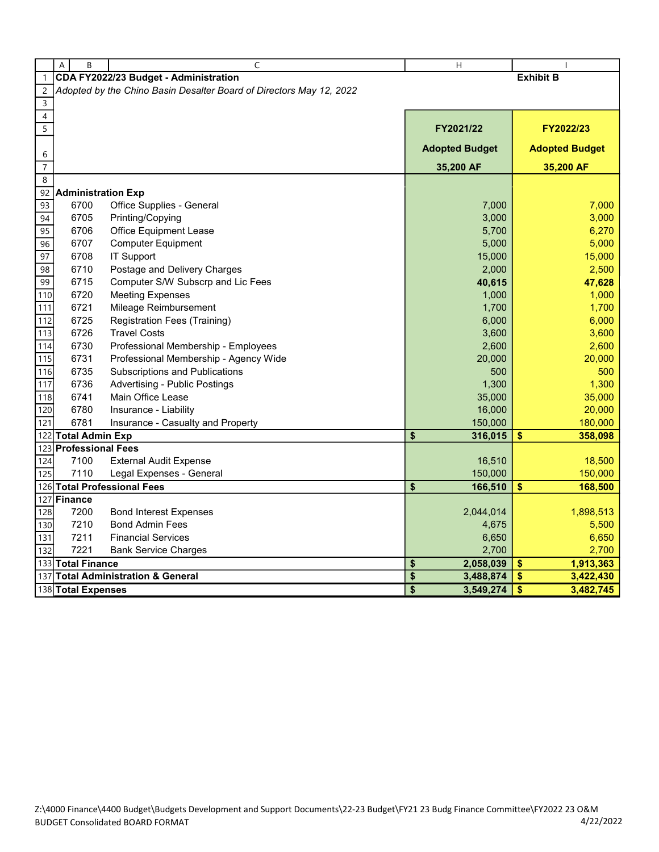|                     | A<br>B                    | C                                                                   | H                                  |                                      |
|---------------------|---------------------------|---------------------------------------------------------------------|------------------------------------|--------------------------------------|
| $\mathbf{1}$        |                           | CDA FY2022/23 Budget - Administration                               |                                    | <b>Exhibit B</b>                     |
| $\overline{c}$      |                           | Adopted by the Chino Basin Desalter Board of Directors May 12, 2022 |                                    |                                      |
| $\mathsf{3}$        |                           |                                                                     |                                    |                                      |
| $\overline{4}$      |                           |                                                                     |                                    |                                      |
| $\overline{5}$      |                           |                                                                     | FY2021/22                          | FY2022/23                            |
|                     |                           |                                                                     | <b>Adopted Budget</b>              | <b>Adopted Budget</b>                |
| 6<br>$\overline{7}$ |                           |                                                                     | 35,200 AF                          | 35,200 AF                            |
| $\,8\,$             |                           |                                                                     |                                    |                                      |
| 92                  | <b>Administration Exp</b> |                                                                     |                                    |                                      |
| 93                  | 6700                      | Office Supplies - General                                           | 7,000                              | 7,000                                |
| 94                  | 6705                      | Printing/Copying                                                    | 3,000                              | 3,000                                |
| 95                  | 6706                      | <b>Office Equipment Lease</b>                                       | 5,700                              | 6,270                                |
| 96                  | 6707                      | <b>Computer Equipment</b>                                           | 5,000                              | 5,000                                |
| 97                  | 6708                      | <b>IT Support</b>                                                   | 15,000                             | 15,000                               |
| 98                  | 6710                      | Postage and Delivery Charges                                        | 2,000                              | 2,500                                |
| 99                  | 6715                      | Computer S/W Subscrp and Lic Fees                                   | 40,615                             | 47,628                               |
| 110                 | 6720                      | <b>Meeting Expenses</b>                                             | 1,000                              | 1,000                                |
| 111                 | 6721                      | Mileage Reimbursement                                               | 1,700                              | 1,700                                |
| 112                 | 6725                      | <b>Registration Fees (Training)</b>                                 | 6,000                              | 6,000                                |
| 113                 | 6726                      | <b>Travel Costs</b>                                                 | 3,600                              | 3,600                                |
| 114                 | 6730                      | Professional Membership - Employees                                 | 2,600                              | 2,600                                |
| 115                 | 6731                      | Professional Membership - Agency Wide                               | 20,000                             | 20,000                               |
| 116                 | 6735                      | Subscriptions and Publications                                      | 500                                | 500                                  |
| 117                 | 6736                      | <b>Advertising - Public Postings</b>                                | 1,300                              | 1,300                                |
| 118                 | 6741                      | Main Office Lease                                                   | 35,000                             | 35,000                               |
| 120                 | 6780                      | Insurance - Liability                                               | 16,000                             | 20,000                               |
| 121                 | 6781                      | Insurance - Casualty and Property                                   | 150,000                            | 180,000                              |
| 122                 | <b>Total Admin Exp</b>    |                                                                     | \$<br>316,015                      | \$<br>358,098                        |
| 123                 | <b>Professional Fees</b>  |                                                                     |                                    |                                      |
| 124                 | 7100                      | <b>External Audit Expense</b>                                       | 16,510                             | 18,500                               |
| 125                 | 7110                      | Legal Expenses - General                                            | 150,000                            | 150,000                              |
|                     |                           | 126 Total Professional Fees                                         | \$<br>166,510                      | \$<br>168,500                        |
| 127                 | Finance                   |                                                                     |                                    |                                      |
| 128                 | 7200                      | <b>Bond Interest Expenses</b>                                       | 2,044,014                          | 1,898,513                            |
| 130                 | 7210                      | <b>Bond Admin Fees</b>                                              | 4,675                              | 5,500                                |
| 131                 | 7211<br>7221              | <b>Financial Services</b>                                           | 6,650                              | 6,650                                |
| 132                 | 133 Total Finance         | <b>Bank Service Charges</b>                                         | 2,700                              | 2,700<br>$\sqrt[6]{3}$               |
|                     |                           | 137 Total Administration & General                                  | \$<br>2,058,039<br>\$<br>3,488,874 | 1,913,363<br>\$<br>3,422,430         |
|                     |                           |                                                                     | \$<br>3,549,274                    | $\overline{\mathbf{S}}$<br>3,482,745 |
|                     | 138 Total Expenses        |                                                                     |                                    |                                      |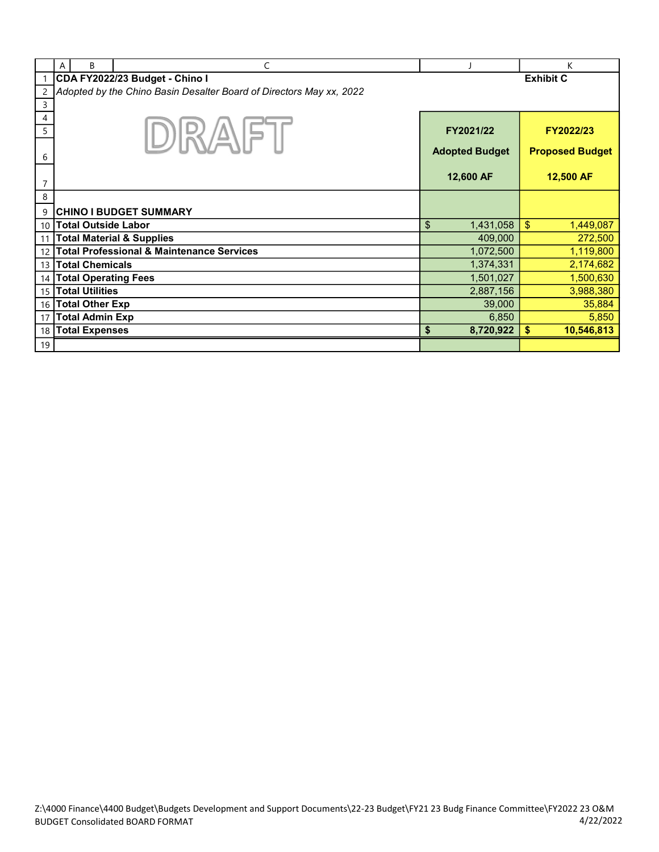|                | A | B                           | C                                                                   |                       | K                      |
|----------------|---|-----------------------------|---------------------------------------------------------------------|-----------------------|------------------------|
|                |   |                             | CDA FY2022/23 Budget - Chino I                                      |                       | <b>Exhibit C</b>       |
| 2              |   |                             | Adopted by the Chino Basin Desalter Board of Directors May xx, 2022 |                       |                        |
| 3              |   |                             |                                                                     |                       |                        |
| 4              |   |                             |                                                                     |                       |                        |
| 5              |   |                             | $  R/\Delta  $                                                      | FY2021/22             | FY2022/23              |
|                |   |                             |                                                                     |                       |                        |
| 6              |   |                             |                                                                     | <b>Adopted Budget</b> | <b>Proposed Budget</b> |
|                |   |                             |                                                                     |                       |                        |
| $\overline{7}$ |   |                             |                                                                     | 12,600 AF             | 12,500 AF              |
| 8              |   |                             |                                                                     |                       |                        |
| 9              |   |                             | <b>CHINO I BUDGET SUMMARY</b>                                       |                       |                        |
|                |   | 10 Total Outside Labor      |                                                                     | \$<br>1,431,058       | \$<br>1,449,087        |
| 11             |   |                             | <b>Total Material &amp; Supplies</b>                                | 409,000               | 272,500                |
| 12             |   |                             | <b>Total Professional &amp; Maintenance Services</b>                | 1,072,500             | 1,119,800              |
| 13             |   | <b>Total Chemicals</b>      |                                                                     | 1,374,331             | 2,174,682              |
| 14             |   | <b>Total Operating Fees</b> |                                                                     | 1,501,027             | 1,500,630              |
|                |   | 15 Total Utilities          |                                                                     | 2,887,156             | 3,988,380              |
|                |   | 16 Total Other Exp          |                                                                     | 39,000                | 35,884                 |
| 17             |   | <b>Total Admin Exp</b>      |                                                                     | 6,850                 | 5,850                  |
| 18             |   | <b>Total Expenses</b>       |                                                                     | \$<br>8,720,922       | 10,546,813<br>\$       |
| 19             |   |                             |                                                                     |                       |                        |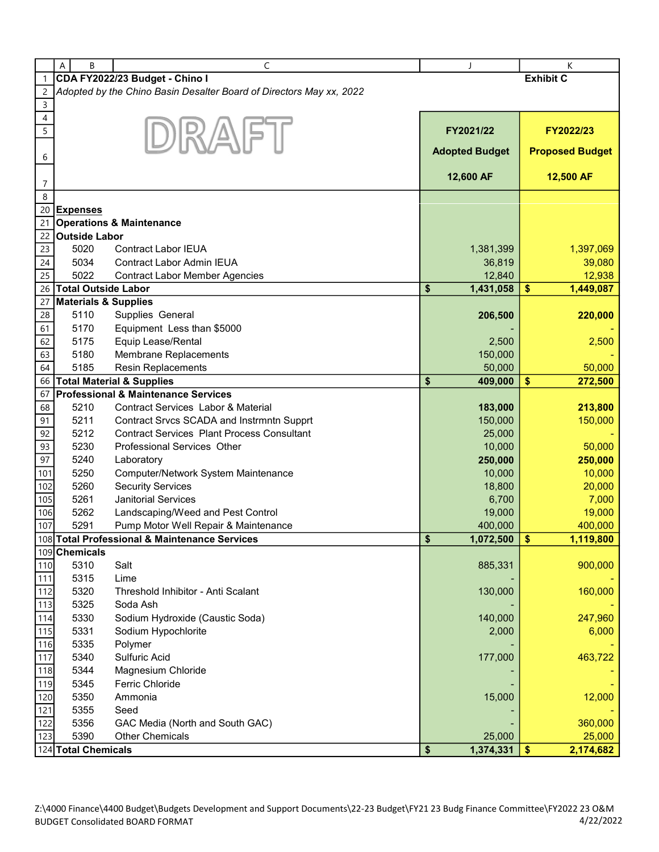|                | A<br>B                          | C                                                                   |                       | К                              |
|----------------|---------------------------------|---------------------------------------------------------------------|-----------------------|--------------------------------|
|                |                                 |                                                                     |                       |                                |
| $\mathbf{1}$   |                                 | CDA FY2022/23 Budget - Chino I                                      |                       | <b>Exhibit C</b>               |
| $\overline{c}$ |                                 | Adopted by the Chino Basin Desalter Board of Directors May xx, 2022 |                       |                                |
| $\mathsf 3$    |                                 |                                                                     |                       |                                |
| 4              |                                 |                                                                     |                       |                                |
| 5              |                                 | DIRAIFT                                                             | FY2021/22             | FY2022/23                      |
|                |                                 |                                                                     |                       |                                |
| 6              |                                 |                                                                     | <b>Adopted Budget</b> | <b>Proposed Budget</b>         |
|                |                                 |                                                                     |                       |                                |
|                |                                 |                                                                     | 12,600 AF             | 12,500 AF                      |
| 7              |                                 |                                                                     |                       |                                |
| 8              |                                 |                                                                     |                       |                                |
| 20             | <b>Expenses</b>                 |                                                                     |                       |                                |
| 21             |                                 | <b>Operations &amp; Maintenance</b>                                 |                       |                                |
| 22             | <b>Outside Labor</b>            |                                                                     |                       |                                |
| 23             | 5020                            | <b>Contract Labor IEUA</b>                                          | 1,381,399             | 1,397,069                      |
| 24             | 5034                            | <b>Contract Labor Admin IEUA</b>                                    | 36,819                | 39,080                         |
|                |                                 |                                                                     |                       |                                |
| 25             | 5022                            | <b>Contract Labor Member Agencies</b>                               | 12,840                | 12,938                         |
| 26             | <b>Total Outside Labor</b>      |                                                                     | \$<br>1,431,058       | \$<br>1,449,087                |
| 27             | <b>Materials &amp; Supplies</b> |                                                                     |                       |                                |
| 28             | 5110                            | Supplies General                                                    | 206,500               | 220,000                        |
| 61             | 5170                            | Equipment Less than \$5000                                          |                       |                                |
| 62             | 5175                            | Equip Lease/Rental                                                  | 2,500                 | 2,500                          |
| 63             | 5180                            | Membrane Replacements                                               | 150,000               |                                |
| 64             | 5185                            | <b>Resin Replacements</b>                                           | 50,000                | 50,000                         |
| 66             |                                 | <b>Total Material &amp; Supplies</b>                                | \$<br>409,000         | \$<br>272,500                  |
| 67             |                                 | <b>Professional &amp; Maintenance Services</b>                      |                       |                                |
|                | 5210                            | Contract Services Labor & Material                                  |                       |                                |
| 68             |                                 |                                                                     | 183,000               | 213,800                        |
| 91             | 5211                            | Contract Srvcs SCADA and Instrmntn Supprt                           | 150,000               | 150,000                        |
| 92             | 5212                            | <b>Contract Services Plant Process Consultant</b>                   | 25,000                |                                |
| 93             | 5230                            | Professional Services Other                                         | 10,000                | 50,000                         |
| 97             | 5240                            | Laboratory                                                          | 250,000               | 250,000                        |
| 101            | 5250                            | Computer/Network System Maintenance                                 | 10,000                | 10,000                         |
| 102            | 5260                            | <b>Security Services</b>                                            | 18,800                | 20,000                         |
| 105            | 5261                            | <b>Janitorial Services</b>                                          | 6,700                 | 7,000                          |
| 106            | 5262                            | Landscaping/Weed and Pest Control                                   | 19,000                | 19,000                         |
| 107            | 5291                            | Pump Motor Well Repair & Maintenance                                | 400,000               | 400,000                        |
|                |                                 | 108 Total Professional & Maintenance Services                       | \$<br>1,072,500       | $\boldsymbol{\$}$<br>1,119,800 |
|                | 109 Chemicals                   |                                                                     |                       |                                |
| 110            | 5310                            | Salt                                                                | 885,331               | 900,000                        |
|                |                                 |                                                                     |                       |                                |
| 111            | 5315                            | Lime                                                                |                       |                                |
| 112            | 5320                            | Threshold Inhibitor - Anti Scalant                                  | 130,000               | 160,000                        |
| 113            | 5325                            | Soda Ash                                                            |                       |                                |
| 114            | 5330                            | Sodium Hydroxide (Caustic Soda)                                     | 140,000               | 247,960                        |
| 115            | 5331                            | Sodium Hypochlorite                                                 | 2,000                 | 6,000                          |
| 116            | 5335                            | Polymer                                                             |                       |                                |
| 117            | 5340                            | Sulfuric Acid                                                       | 177,000               | 463,722                        |
| 118            | 5344                            | Magnesium Chloride                                                  |                       |                                |
| 119            | 5345                            | Ferric Chloride                                                     |                       |                                |
| 120            | 5350                            | Ammonia                                                             | 15,000                | 12,000                         |
| 121            | 5355                            | Seed                                                                |                       |                                |
| 122            | 5356                            | GAC Media (North and South GAC)                                     |                       | 360,000                        |
|                |                                 | <b>Other Chemicals</b>                                              |                       |                                |
| 123            | 5390                            |                                                                     | 25,000                | 25,000                         |
|                | 124 Total Chemicals             |                                                                     | \$<br>1,374,331       | $\sqrt[6]{3}$<br>2,174,682     |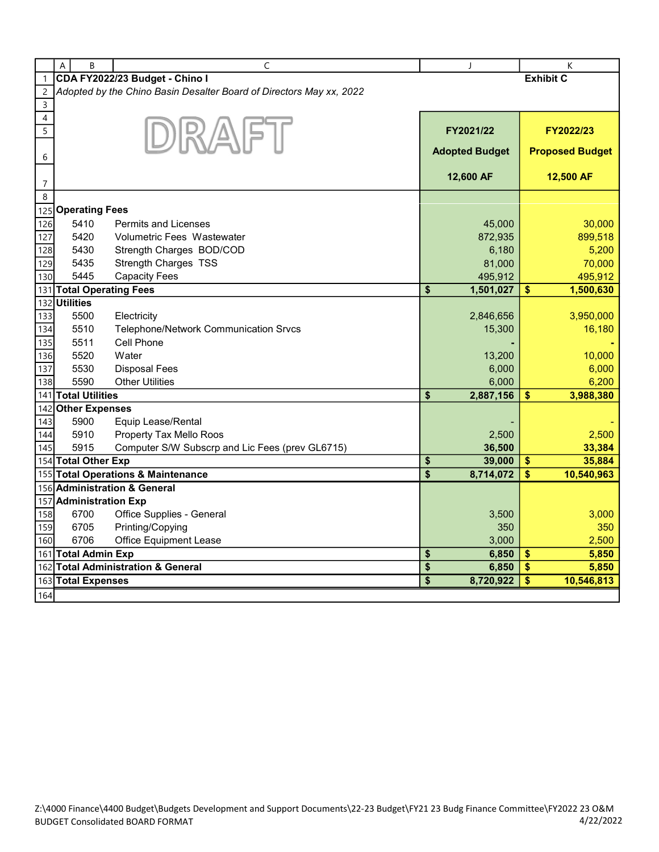|              | A<br>B                    | $\mathsf{C}$                                                        |                                    | J                     |                  | K                      |
|--------------|---------------------------|---------------------------------------------------------------------|------------------------------------|-----------------------|------------------|------------------------|
| $\mathbf{1}$ |                           | CDA FY2022/23 Budget - Chino I                                      |                                    |                       | <b>Exhibit C</b> |                        |
| 2            |                           | Adopted by the Chino Basin Desalter Board of Directors May xx, 2022 |                                    |                       |                  |                        |
| $\mathsf 3$  |                           |                                                                     |                                    |                       |                  |                        |
| 4            |                           |                                                                     |                                    |                       |                  |                        |
| 5            |                           | DIR AFT                                                             |                                    | FY2021/22             |                  | FY2022/23              |
|              |                           |                                                                     |                                    | <b>Adopted Budget</b> |                  | <b>Proposed Budget</b> |
| 6            |                           |                                                                     |                                    |                       |                  |                        |
| 7            |                           |                                                                     |                                    | 12,600 AF             |                  | 12,500 AF              |
| 8            |                           |                                                                     |                                    |                       |                  |                        |
| 125          | <b>Operating Fees</b>     |                                                                     |                                    |                       |                  |                        |
| 126          | 5410                      | <b>Permits and Licenses</b>                                         |                                    | 45,000                |                  | 30,000                 |
| 127          | 5420                      | Volumetric Fees Wastewater                                          |                                    | 872,935               |                  | 899,518                |
| 128          | 5430                      | Strength Charges BOD/COD                                            |                                    | 6,180                 |                  | 5,200                  |
| 129          | 5435                      | Strength Charges TSS                                                |                                    | 81,000                |                  | 70,000                 |
| 130          | 5445                      | <b>Capacity Fees</b>                                                |                                    | 495,912               |                  | 495,912                |
|              | 131 Total Operating Fees  |                                                                     | \$                                 | 1,501,027             | \$               | 1,500,630              |
| 132          | <b>Utilities</b>          |                                                                     |                                    |                       |                  |                        |
| 133          | 5500                      | Electricity                                                         |                                    | 2,846,656             |                  | 3,950,000              |
| 134          | 5510                      | Telephone/Network Communication Srvcs                               |                                    | 15,300                |                  | 16,180                 |
| 135          | 5511                      | Cell Phone                                                          |                                    |                       |                  |                        |
| 136          | 5520                      | Water                                                               |                                    | 13,200                |                  | 10,000                 |
| 137          | 5530                      | <b>Disposal Fees</b>                                                |                                    | 6,000                 |                  | 6,000                  |
| 138          | 5590                      | <b>Other Utilities</b>                                              |                                    | 6,000                 |                  | 6,200                  |
| 141          | <b>Total Utilities</b>    |                                                                     | \$                                 | 2,887,156             | \$               | 3,988,380              |
| 142          | <b>Other Expenses</b>     |                                                                     |                                    |                       |                  |                        |
| 143          | 5900                      | Equip Lease/Rental                                                  |                                    |                       |                  |                        |
| 144          | 5910                      | Property Tax Mello Roos                                             |                                    | 2,500                 |                  | 2,500                  |
| 145          | 5915                      | Computer S/W Subscrp and Lic Fees (prev GL6715)                     |                                    | 36,500                |                  | 33,384                 |
|              | 154 Total Other Exp       | 155 Total Operations & Maintenance                                  | \$<br>$\overline{\boldsymbol{\$}}$ | 39,000<br>8,714,072   | $\sqrt{2}$<br>\$ | 35,884                 |
|              |                           | 156 Administration & General                                        |                                    |                       |                  | 10,540,963             |
|              | <b>Administration Exp</b> |                                                                     |                                    |                       |                  |                        |
| 157<br>158   | 6700                      | Office Supplies - General                                           |                                    | 3,500                 |                  | 3,000                  |
| 159          | 6705                      | Printing/Copying                                                    |                                    | 350                   |                  | 350                    |
| 160          | 6706                      | <b>Office Equipment Lease</b>                                       |                                    | 3,000                 |                  | 2,500                  |
|              | 161 Total Admin Exp       |                                                                     | \$                                 | 6,850                 | \$               | 5,850                  |
|              |                           | 162 Total Administration & General                                  | \$                                 | 6,850                 | $\mathbf{\$}$    | 5,850                  |
|              | 163 Total Expenses        |                                                                     | \$                                 | 8,720,922             | \$               | 10,546,813             |
| 164          |                           |                                                                     |                                    |                       |                  |                        |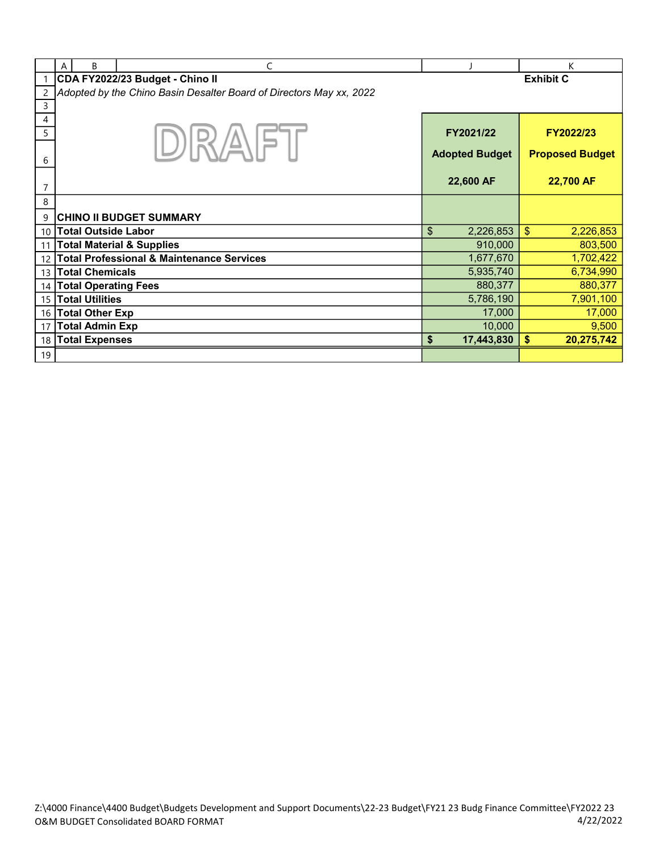|                | B<br>A                      | C                                                                   |                       | K                      |
|----------------|-----------------------------|---------------------------------------------------------------------|-----------------------|------------------------|
|                |                             | CDA FY2022/23 Budget - Chino II                                     |                       | <b>Exhibit C</b>       |
| $\overline{c}$ |                             | Adopted by the Chino Basin Desalter Board of Directors May xx, 2022 |                       |                        |
| 3              |                             |                                                                     |                       |                        |
| 4              |                             |                                                                     |                       |                        |
| 5              |                             |                                                                     | FY2021/22             | FY2022/23              |
|                |                             | $ \mathbb{R}\rangle/\mathbb{R}$                                     |                       |                        |
| 6              |                             |                                                                     | <b>Adopted Budget</b> | <b>Proposed Budget</b> |
|                |                             |                                                                     |                       |                        |
| $\overline{7}$ |                             |                                                                     | 22,600 AF             | 22,700 AF              |
| 8              |                             |                                                                     |                       |                        |
| 9              |                             | <b>CHINO II BUDGET SUMMARY</b>                                      |                       |                        |
| 10             | <b>Total Outside Labor</b>  |                                                                     | \$<br>2,226,853       | \$<br>2,226,853        |
| 11             |                             | <b>Total Material &amp; Supplies</b>                                | 910,000               | 803,500                |
| 12             |                             | <b>Total Professional &amp; Maintenance Services</b>                | 1,677,670             | 1,702,422              |
| 13             | <b>Total Chemicals</b>      |                                                                     | 5,935,740             | 6,734,990              |
| 14             | <b>Total Operating Fees</b> |                                                                     | 880,377               | 880,377                |
| 15             | <b>Total Utilities</b>      |                                                                     | 5,786,190             | 7,901,100              |
| 16             | <b>Total Other Exp</b>      |                                                                     | 17,000                | 17,000                 |
| 17             | <b>Total Admin Exp</b>      |                                                                     | 10,000                | 9,500                  |
| 18             | <b>Total Expenses</b>       |                                                                     | \$<br>17,443,830      | \$<br>20,275,742       |
| 19             |                             |                                                                     |                       |                        |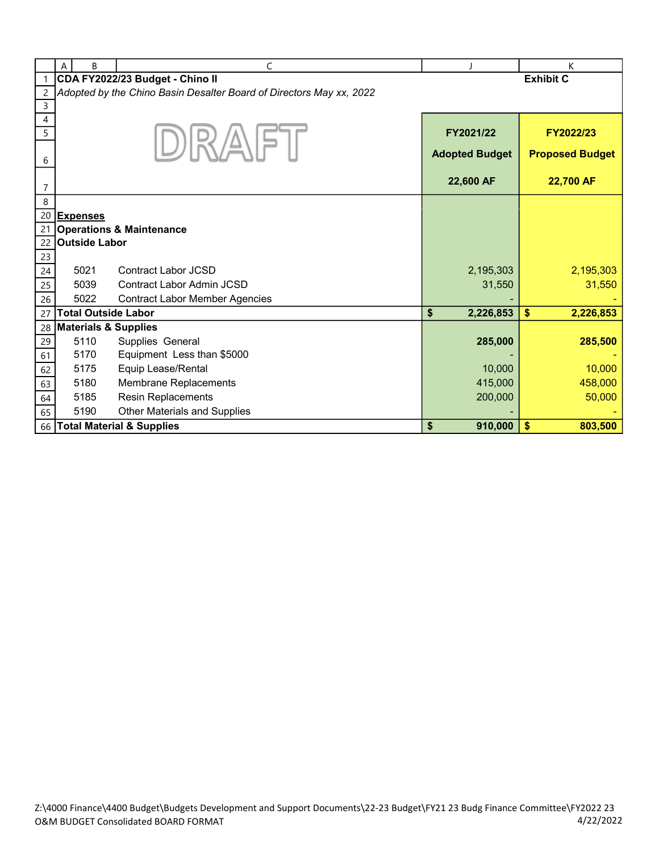|                | B<br>A                          | C                                                                   |                       | K                      |
|----------------|---------------------------------|---------------------------------------------------------------------|-----------------------|------------------------|
|                |                                 | CDA FY2022/23 Budget - Chino II                                     |                       | <b>Exhibit C</b>       |
| $\overline{c}$ |                                 | Adopted by the Chino Basin Desalter Board of Directors May xx, 2022 |                       |                        |
| $\mathsf 3$    |                                 |                                                                     |                       |                        |
| 4              |                                 |                                                                     |                       |                        |
| 5              |                                 |                                                                     | FY2021/22             | FY2022/23              |
|                |                                 | $D$ $R/A$ $P$                                                       | <b>Adopted Budget</b> | <b>Proposed Budget</b> |
| 6              |                                 |                                                                     |                       |                        |
|                |                                 |                                                                     | 22,600 AF             | 22,700 AF              |
| 7              |                                 |                                                                     |                       |                        |
| 8              |                                 |                                                                     |                       |                        |
| 20<br>21       | <b>Expenses</b>                 | <b>Operations &amp; Maintenance</b>                                 |                       |                        |
| 22             | <b>Outside Labor</b>            |                                                                     |                       |                        |
| 23             |                                 |                                                                     |                       |                        |
| 24             | 5021                            | Contract Labor JCSD                                                 | 2,195,303             | 2,195,303              |
| 25             | 5039                            | Contract Labor Admin JCSD                                           | 31,550                | 31,550                 |
| 26             | 5022                            | <b>Contract Labor Member Agencies</b>                               |                       |                        |
| 27             | <b>Total Outside Labor</b>      |                                                                     | \$<br>2,226,853       | \$<br>2,226,853        |
| 28             | <b>Materials &amp; Supplies</b> |                                                                     |                       |                        |
| 29             | 5110                            | Supplies General                                                    | 285,000               | 285,500                |
| 61             | 5170                            | Equipment Less than \$5000                                          |                       |                        |
| 62             | 5175                            | Equip Lease/Rental                                                  | 10,000                | 10,000                 |
| 63             | 5180                            | Membrane Replacements                                               | 415,000               | 458,000                |
| 64             | 5185                            | Resin Replacements                                                  | 200,000               | 50,000                 |
| 65             | 5190                            | <b>Other Materials and Supplies</b>                                 |                       |                        |
| 66             |                                 | <b>Total Material &amp; Supplies</b>                                | \$<br>910,000         | \$<br>803,500          |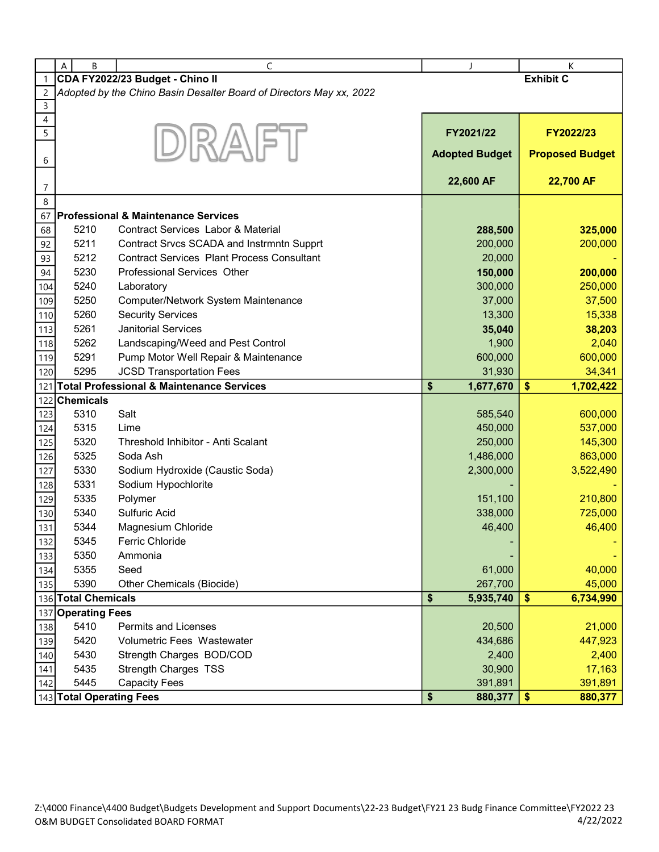|                          | B<br>A                   | C                                                                   | J                     | К                      |  |
|--------------------------|--------------------------|---------------------------------------------------------------------|-----------------------|------------------------|--|
| $\mathbf{1}$             |                          | CDA FY2022/23 Budget - Chino II                                     |                       | <b>Exhibit C</b>       |  |
| $\overline{c}$           |                          | Adopted by the Chino Basin Desalter Board of Directors May xx, 2022 |                       |                        |  |
| 3                        |                          |                                                                     |                       |                        |  |
| $\overline{\mathcal{L}}$ |                          |                                                                     |                       |                        |  |
| 5                        |                          | DRAFT                                                               | FY2021/22             | FY2022/23              |  |
|                          |                          |                                                                     | <b>Adopted Budget</b> | <b>Proposed Budget</b> |  |
| 6                        |                          |                                                                     |                       |                        |  |
| 7                        |                          |                                                                     | 22,600 AF             | 22,700 AF              |  |
| 8                        |                          |                                                                     |                       |                        |  |
| 67                       |                          | <b>Professional &amp; Maintenance Services</b>                      |                       |                        |  |
| 68                       | 5210                     | <b>Contract Services Labor &amp; Material</b>                       | 288,500               | 325,000                |  |
| 92                       | 5211                     | Contract Srvcs SCADA and Instrmntn Supprt                           | 200,000               | 200,000                |  |
|                          | 5212                     | <b>Contract Services Plant Process Consultant</b>                   | 20,000                |                        |  |
| 93                       | 5230                     | Professional Services Other                                         | 150,000               | 200,000                |  |
| 94                       | 5240                     |                                                                     | 300,000               | 250,000                |  |
| 104                      |                          | Laboratory                                                          | 37,000                | 37,500                 |  |
| 109                      | 5250                     | Computer/Network System Maintenance<br><b>Security Services</b>     |                       |                        |  |
| 110                      | 5260                     |                                                                     | 13,300                | 15,338                 |  |
| 113                      | 5261                     | <b>Janitorial Services</b>                                          | 35,040                | 38,203                 |  |
| 118                      | 5262                     | Landscaping/Weed and Pest Control                                   | 1,900                 | 2,040                  |  |
| 119                      | 5291                     | Pump Motor Well Repair & Maintenance                                | 600,000               | 600,000                |  |
| 120                      | 5295                     | <b>JCSD Transportation Fees</b>                                     | 31,930                | 34,341                 |  |
| 121                      |                          | <b>Total Professional &amp; Maintenance Services</b>                | \$<br>1,677,670       | \$<br>1,702,422        |  |
| 122                      | <b>Chemicals</b>         |                                                                     |                       |                        |  |
| 123                      | 5310                     | Salt                                                                | 585,540               | 600,000                |  |
| 124                      | 5315                     | Lime                                                                | 450,000               | 537,000                |  |
| 125                      | 5320                     | Threshold Inhibitor - Anti Scalant                                  | 250,000               | 145,300                |  |
| 126                      | 5325                     | Soda Ash                                                            | 1,486,000             | 863,000                |  |
| 127                      | 5330                     | Sodium Hydroxide (Caustic Soda)                                     | 2,300,000             | 3,522,490              |  |
| 128                      | 5331                     | Sodium Hypochlorite                                                 |                       |                        |  |
| 129                      | 5335                     | Polymer                                                             | 151,100               | 210,800                |  |
| 130                      | 5340                     | Sulfuric Acid                                                       | 338,000               | 725,000                |  |
| 131                      | 5344                     | Magnesium Chloride                                                  | 46,400                | 46,400                 |  |
| 132                      | 5345                     | <b>Ferric Chloride</b>                                              |                       |                        |  |
| 133                      | 5350                     | Ammonia                                                             |                       |                        |  |
| 134                      | 5355                     | Seed                                                                | 61,000                | 40,000                 |  |
| 135                      | 5390                     | Other Chemicals (Biocide)                                           | 267,700               | 45,000                 |  |
|                          | 136 Total Chemicals      |                                                                     | \$<br>5,935,740       | \$<br>6,734,990        |  |
| 137                      | <b>Operating Fees</b>    |                                                                     |                       |                        |  |
| 138                      | 5410                     | <b>Permits and Licenses</b>                                         | 20,500                | 21,000                 |  |
| 139                      | 5420                     | <b>Volumetric Fees Wastewater</b>                                   | 434,686               | 447,923                |  |
| 140                      | 5430                     | Strength Charges BOD/COD                                            | 2,400                 | 2,400                  |  |
| 141                      | 5435                     | <b>Strength Charges TSS</b>                                         | 30,900                | 17,163                 |  |
| 142                      | 5445                     | <b>Capacity Fees</b>                                                | 391,891               | 391,891                |  |
|                          | 143 Total Operating Fees |                                                                     | \$<br>880,377         | \$<br>880,377          |  |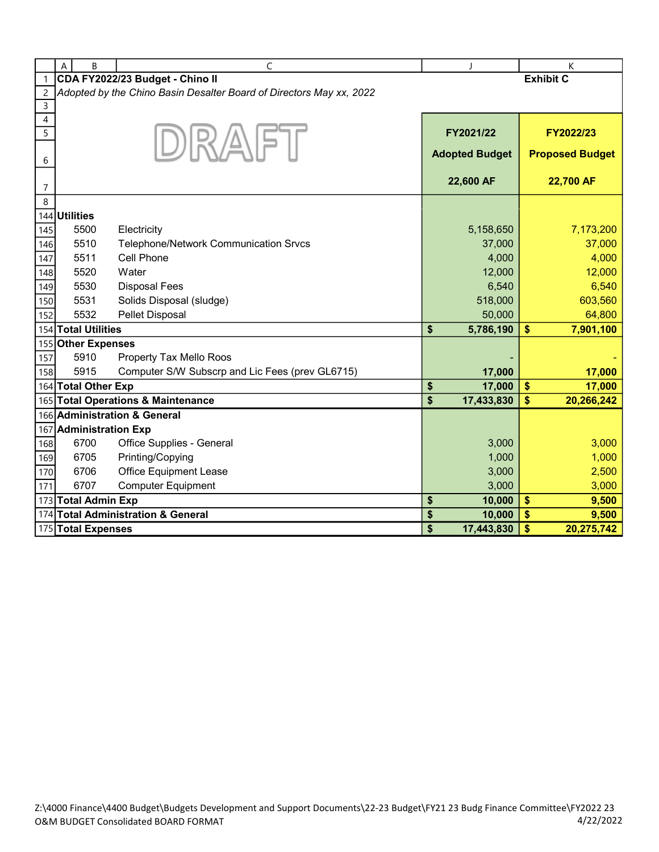|                | A<br>B                 | C                                                                   |                         | $\mathbf{I}$          |                         | К                      |
|----------------|------------------------|---------------------------------------------------------------------|-------------------------|-----------------------|-------------------------|------------------------|
| $\mathbf{1}$   |                        | CDA FY2022/23 Budget - Chino II                                     |                         |                       |                         | <b>Exhibit C</b>       |
| $\overline{c}$ |                        | Adopted by the Chino Basin Desalter Board of Directors May xx, 2022 |                         |                       |                         |                        |
| $\mathsf{3}$   |                        |                                                                     |                         |                       |                         |                        |
| 4              |                        |                                                                     |                         |                       |                         |                        |
| 5              |                        | DRAFT                                                               |                         | FY2021/22             |                         | FY2022/23              |
|                |                        |                                                                     |                         | <b>Adopted Budget</b> |                         | <b>Proposed Budget</b> |
| 6              |                        |                                                                     |                         |                       |                         |                        |
| $\overline{7}$ |                        |                                                                     |                         | 22,600 AF             |                         | 22,700 AF              |
| 8              |                        |                                                                     |                         |                       |                         |                        |
|                | 144 Utilities          |                                                                     |                         |                       |                         |                        |
| 145            | 5500                   | Electricity                                                         |                         | 5,158,650             |                         | 7,173,200              |
| 146            | 5510                   | Telephone/Network Communication Srvcs                               |                         | 37,000                |                         | 37,000                 |
| 147            | 5511                   | Cell Phone                                                          |                         | 4,000                 |                         | 4,000                  |
| 148            | 5520                   | Water                                                               |                         | 12,000                |                         | 12,000                 |
| 149            | 5530                   | <b>Disposal Fees</b>                                                |                         | 6,540                 |                         | 6,540                  |
| 150            | 5531                   | Solids Disposal (sludge)                                            |                         | 518,000               |                         | 603,560                |
| 152            | 5532                   | <b>Pellet Disposal</b>                                              |                         | 50,000                |                         | 64,800                 |
|                | 154 Total Utilities    |                                                                     | \$                      | 5,786,190             | \$                      | 7,901,100              |
|                | 155 Other Expenses     |                                                                     |                         |                       |                         |                        |
| 157            | 5910                   | Property Tax Mello Roos                                             |                         |                       |                         |                        |
| 158            | 5915                   | Computer S/W Subscrp and Lic Fees (prev GL6715)                     |                         | 17,000                |                         | 17,000                 |
|                | 164 Total Other Exp    |                                                                     | \$                      | 17,000                | \$                      | 17,000                 |
|                |                        | 165 Total Operations & Maintenance                                  | $\overline{\mathbf{s}}$ | 17,433,830            | $\overline{\mathbf{s}}$ | 20,266,242             |
|                |                        | 166 Administration & General                                        |                         |                       |                         |                        |
|                | 167 Administration Exp |                                                                     |                         |                       |                         |                        |
| 168            | 6700                   | Office Supplies - General                                           |                         | 3,000                 |                         | 3,000                  |
| 169            | 6705                   | Printing/Copying                                                    |                         | 1,000                 |                         | 1,000                  |
| 170            | 6706                   | <b>Office Equipment Lease</b>                                       |                         | 3,000                 |                         | 2,500                  |
| 171            | 6707                   | <b>Computer Equipment</b>                                           |                         | 3,000                 |                         | 3,000                  |
|                | 173 Total Admin Exp    |                                                                     | \$                      | 10,000                | \$                      | 9,500                  |
|                |                        | 174 Total Administration & General                                  | \$                      | 10,000                | \$                      | 9,500                  |
|                | 175 Total Expenses     |                                                                     | \$                      | 17,443,830            | $\frac{1}{2}$           | 20,275,742             |